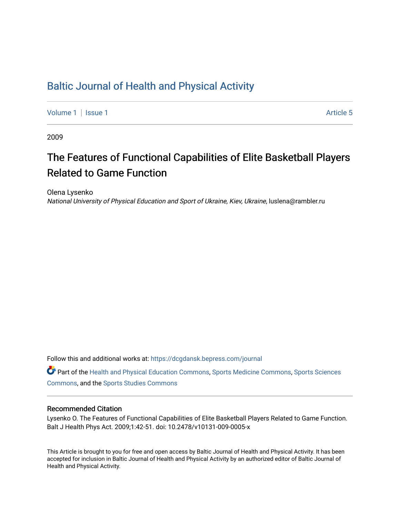# [Baltic Journal of Health and Physical Activity](https://dcgdansk.bepress.com/journal)

[Volume 1](https://dcgdansk.bepress.com/journal/vol1) | [Issue 1](https://dcgdansk.bepress.com/journal/vol1/iss1) Article 5

2009

# The Features of Functional Capabilities of Elite Basketball Players Related to Game Function

Olena Lysenko National University of Physical Education and Sport of Ukraine, Kiev, Ukraine, luslena@rambler.ru

Follow this and additional works at: [https://dcgdansk.bepress.com/journal](https://dcgdansk.bepress.com/journal?utm_source=dcgdansk.bepress.com%2Fjournal%2Fvol1%2Fiss1%2F5&utm_medium=PDF&utm_campaign=PDFCoverPages)

Part of the [Health and Physical Education Commons](http://network.bepress.com/hgg/discipline/1327?utm_source=dcgdansk.bepress.com%2Fjournal%2Fvol1%2Fiss1%2F5&utm_medium=PDF&utm_campaign=PDFCoverPages), [Sports Medicine Commons,](http://network.bepress.com/hgg/discipline/1331?utm_source=dcgdansk.bepress.com%2Fjournal%2Fvol1%2Fiss1%2F5&utm_medium=PDF&utm_campaign=PDFCoverPages) [Sports Sciences](http://network.bepress.com/hgg/discipline/759?utm_source=dcgdansk.bepress.com%2Fjournal%2Fvol1%2Fiss1%2F5&utm_medium=PDF&utm_campaign=PDFCoverPages) [Commons](http://network.bepress.com/hgg/discipline/759?utm_source=dcgdansk.bepress.com%2Fjournal%2Fvol1%2Fiss1%2F5&utm_medium=PDF&utm_campaign=PDFCoverPages), and the [Sports Studies Commons](http://network.bepress.com/hgg/discipline/1198?utm_source=dcgdansk.bepress.com%2Fjournal%2Fvol1%2Fiss1%2F5&utm_medium=PDF&utm_campaign=PDFCoverPages) 

#### Recommended Citation

Lysenko O. The Features of Functional Capabilities of Elite Basketball Players Related to Game Function. Balt J Health Phys Act. 2009;1:42-51. doi: 10.2478/v10131-009-0005-x

This Article is brought to you for free and open access by Baltic Journal of Health and Physical Activity. It has been accepted for inclusion in Baltic Journal of Health and Physical Activity by an authorized editor of Baltic Journal of Health and Physical Activity.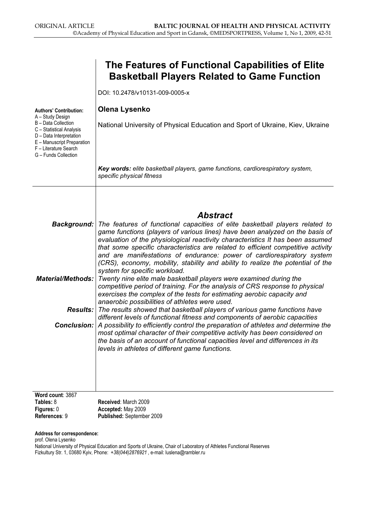|                                                                                                                                                                                      | The Features of Functional Capabilities of Elite<br><b>Basketball Players Related to Game Function</b>                                                                                                                                                                                                                                                                                                                                                                                                                                              |
|--------------------------------------------------------------------------------------------------------------------------------------------------------------------------------------|-----------------------------------------------------------------------------------------------------------------------------------------------------------------------------------------------------------------------------------------------------------------------------------------------------------------------------------------------------------------------------------------------------------------------------------------------------------------------------------------------------------------------------------------------------|
|                                                                                                                                                                                      | DOI: 10.2478/v10131-009-0005-x                                                                                                                                                                                                                                                                                                                                                                                                                                                                                                                      |
| <b>Authors' Contribution:</b>                                                                                                                                                        | <b>Olena Lysenko</b>                                                                                                                                                                                                                                                                                                                                                                                                                                                                                                                                |
| A - Study Design<br><b>B</b> - Data Collection<br>C - Statistical Analysis<br>D - Data Interpretation<br>E - Manuscript Preparation<br>F - Literature Search<br>G - Funds Collection | National University of Physical Education and Sport of Ukraine, Kiev, Ukraine                                                                                                                                                                                                                                                                                                                                                                                                                                                                       |
|                                                                                                                                                                                      | Key words: elite basketball players, game functions, cardiorespiratory system,<br>specific physical fitness                                                                                                                                                                                                                                                                                                                                                                                                                                         |
|                                                                                                                                                                                      | <b>Abstract</b>                                                                                                                                                                                                                                                                                                                                                                                                                                                                                                                                     |
|                                                                                                                                                                                      | <b>Background:</b> The features of functional capacities of elite basketball players related to<br>game functions (players of various lines) have been analyzed on the basis of<br>evaluation of the physiological reactivity characteristics It has been assumed<br>that some specific characteristics are related to efficient competitive activity<br>and are manifestations of endurance: power of cardiorespiratory system<br>(CRS), economy, mobility, stability and ability to realize the potential of the<br>system for specific workload. |
| <b>Material/Methods:</b>                                                                                                                                                             | Twenty nine elite male basketball players were examined during the<br>competitive period of training. For the analysis of CRS response to physical<br>exercises the complex of the tests for estimating aerobic capacity and<br>anaerobic possibilities of athletes were used.                                                                                                                                                                                                                                                                      |
|                                                                                                                                                                                      | <b>Results:</b> The results showed that basketball players of various game functions have<br>different levels of functional fitness and components of aerobic capacities                                                                                                                                                                                                                                                                                                                                                                            |
|                                                                                                                                                                                      | <b>Conclusion:</b> A possibility to efficiently control the preparation of athletes and determine the<br>most optimal character of their competitive activity has been considered on<br>the basis of an account of functional capacities level and differences in its<br>levels in athletes of different game functions.                                                                                                                                                                                                                            |
|                                                                                                                                                                                      |                                                                                                                                                                                                                                                                                                                                                                                                                                                                                                                                                     |
| Word count: 3867<br>Tables: 8                                                                                                                                                        | Received: March 2009                                                                                                                                                                                                                                                                                                                                                                                                                                                                                                                                |
| Figures: 0<br>References: 9                                                                                                                                                          | Accepted: May 2009<br>Published: September 2009                                                                                                                                                                                                                                                                                                                                                                                                                                                                                                     |

Address for correspondence:

prof. Olena Lysenko

National University of Physical Education and Sports of Ukraine, Chair of Laboratory of Athletes Functional Reserves Fizkultury Str. 1, 03680 Kyiv, Phone: +38(044)2876921 , e-mail: luslena@rambler.ru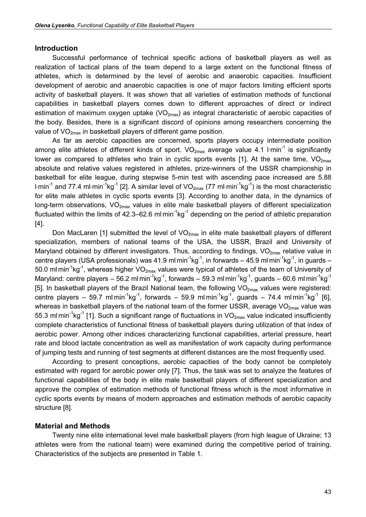#### Introduction

Successful performance of technical specific actions of basketball players as well as realization of tactical plans of the team depend to a large extent on the functional fitness of athletes, which is determined by the level of aerobic and anaerobic capacities. Insufficient development of aerobic and anaerobic capacities is one of major factors limiting efficient sports activity of basketball players. It was shown that all varieties of estimation methods of functional capabilities in basketball players comes down to different approaches of direct or indirect estimation of maximum oxygen uptake  $(VO_{2max})$  as integral characteristic of aerobic capacities of the body. Besides, there is a significant discord of opinions among researchers concerning the value of  $VO<sub>2max</sub>$  in basketball players of different game position.

As far as aerobic capacities are concerned, sports players occupy intermediate position among elite athletes of different kinds of sport.  $VO_{2max}$  average value 4.1 l·min<sup>-1</sup> is significantly lower as compared to athletes who train in cyclic sports events [1]. At the same time,  $VO_{2max}$ absolute and relative values registered in athletes, prize-winners of the USSR championship in basketball for elite league, during stepwise 5-min test with ascending pace increased are 5.88 l⋅min<sup>-1</sup> and 77.4 ml⋅min<sup>-1</sup>kg<sup>-1</sup> [2]. A similar level of VO<sub>2max</sub> (77 ml⋅min<sup>-1</sup>kg<sup>-1</sup>) is the most characteristic for elite male athletes in cyclic sports events [3]. According to another data, in the dynamics of long-term observations, VO<sub>2max</sub> values in elite male basketball players of different specialization fluctuated within the limits of 42.3–62.6 ml min<sup>-1</sup>kg<sup>-1</sup> depending on the period of athletic preparation [4].

Don MacLaren [1] submitted the level of  $VO<sub>2max</sub>$  in elite male basketball players of different specialization, members of national teams of the USA, the USSR, Brazil and University of Maryland obtained by different investigators. Thus, according to findings,  $VO<sub>2max</sub>$  relative value in centre players (USA professionals) was 41.9 ml<sup>.</sup>min<sup>-1</sup>kg<sup>-1</sup>, in forwards – 45.9 ml<sup>.</sup>min<sup>-1</sup>kg<sup>-1</sup>, in guards – 50.0 ml min<sup>-1</sup>kg<sup>-1</sup>, whereas higher VO<sub>2max</sub> values were typical of athletes of the team of University of Maryland: centre players – 56.2 ml min<sup>-1</sup>kg<sup>-1</sup>, forwards – 59.3 ml min<sup>-1</sup>kg<sup>-1</sup>, guards – 60.6 ml min<sup>-1</sup>kg<sup>-1</sup> [5]. In basketball players of the Brazil National team, the following VO<sub>2max</sub> values were registered: centre players – 59.7 ml $\,$ min<sup>-1</sup>kg<sup>-1</sup>, forwards – 59.9 ml $\,$ min<sup>-1</sup>kg<sup>-1</sup>, guards – 74.4 ml $\,$ min<sup>-1</sup>kg<sup>-1</sup> [6], whereas in basketball players of the national team of the former USSR, average  $VO<sub>2max</sub>$  value was 55.3 ml min<sup>-1</sup>kg<sup>-1</sup> [1]. Such a significant range of fluctuations in VO<sub>2max</sub> value indicated insufficiently complete characteristics of functional fitness of basketball players during utilization of that index of aerobic power. Among other indices characterizing functional capabilities, arterial pressure, heart rate and blood lactate concentration as well as manifestation of work capacity during performance of jumping tests and running of test segments at different distances are the most frequently used.

According to present conceptions, aerobic capacities of the body cannot be completely estimated with regard for aerobic power only [7]. Thus, the task was set to analyze the features of functional capabilities of the body in elite male basketball players of different specialization and approve the complex of estimation methods of functional fitness which is the most informative in cyclic sports events by means of modern approaches and estimation methods of aerobic capacity structure [8].

#### Material and Methods

Twenty nine elite international level male basketball players (from high league of Ukraine; 13 athletes were from the national team) were examined during the competitive period of training. Characteristics of the subjects are presented in Table 1.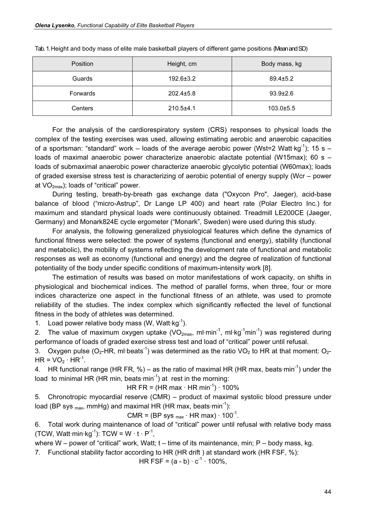| Position       | Height, cm      | Body mass, kg   |
|----------------|-----------------|-----------------|
| Guards         | $192.6 \pm 3.2$ | $89.4 \pm 5.2$  |
| Forwards       | $202.4 \pm 5.8$ | $93.9 \pm 2.6$  |
| <b>Centers</b> | $210.5 + 4.1$   | $103.0 \pm 5.5$ |

Tab. 1. Height and body mass of elite male basketball players of different game positions (Mean and SD)

For the analysis of the cardiorespiratory system (CRS) responses to physical loads the complex of the testing exercises was used, allowing estimating aerobic and anaerobic capacities of a sportsman: "standard" work – loads of the average aerobic power (Wst=2 Watt $kg^{-1}$ ); 15 s – loads of maximal anaerobic power characterize anaerobic alactate potential (W15max); 60 s – loads of submaximal anaerobic power characterize anaerobic glycolytic potential (W60max); loads of graded exersise stress test is characterizing of aerobic potential of energy supply (Wcr – power at  $VO_{2max}$ ); loads of "critical" power.

During testing, breath-by-breath gas exchange data ("Oxycon Pro", Jaeger), acid-base balance of blood ("micro-Astrup", Dr Lange LP 400) and heart rate (Polar Electro Inc.) for maximum and standard physical loads were continuously obtained. Treadmill LE200CE (Jaeger, Germany) and Monark824E cycle ergometer ("Monark", Sweden) were used during this study.

For analysis, the following generalized physiological features which define the dynamics of functional fitness were selected: the power of systems (functional and energy), stability (functional and metabolic), the mobility of systems reflecting the development rate of functional and metabolic responses as well as economy (functional and energy) and the degree of realization of functional potentiality of the body under specific conditions of maximum-intensity work [8].

The estimation of results was based on motor manifestations of work capacity, on shifts in physiological and biochemical indices. The method of parallel forms, when three, four or more indices characterize one aspect in the functional fitness of an athlete, was used to promote reliability of the studies. The index complex which significantly reflected the level of functional fitness in the body of athletes was determined.

1. Load power relative body mass (W, Watt $(g^{-1})$ .

2. The value of maximum oxygen uptake (VO<sub>2max</sub>, ml·min<sup>-1</sup>, ml·kg<sup>-1</sup>min<sup>-1</sup>) was registered during performance of loads of graded exercise stress test and load of "critical" power until refusal.

3. Oxygen pulse (O<sub>2</sub>-HR, ml·beats<sup>-1</sup>) was determined as the ratio VO<sub>2</sub> to HR at that moment: O<sub>2</sub>- $HR = VO<sub>2</sub> · HR<sup>-1</sup>.$ 

4. HR functional range (HR FR, %) – as the ratio of maximal HR (HR max, beats $\cdot$ min<sup>-1</sup>) under the load to minimal HR (HR min, beats  $min^{-1}$ ) at rest in the morning:

HR FR = (HR max  $\cdot$  HR min<sup>-1</sup>)  $\cdot$  100%

5. Chronotropic myocardial reserve (CMR) – product of maximal systolic blood pressure under load (BP sys  $_{\text{max}}$ , mmHg) and maximal HR (HR max, beats min<sup>-1</sup>):

CMR = (BP sys  $_{\text{max}} \cdot$  HR max)  $\cdot$  100<sup>-1</sup>.

6. Total work during maintenance of load of "critical" power until refusal with relative body mass (TCW, Watt-min-kg<sup>-1</sup>): TCW = W  $\cdot$  t · P<sup>-1</sup>,

where W – power of "critical" work, Watt;  $t$  – time of its maintenance, min; P – body mass, kg.

7. Functional stability factor according to HR (HR drift ) at standard work (HR FSF, %):

HR FSF =  $(a - b) \cdot c^{-1} \cdot 100\%$ .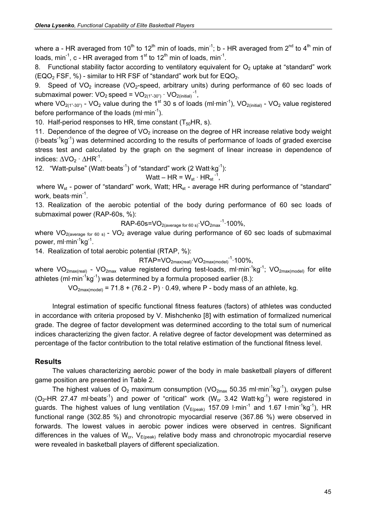where a - HR averaged from 10<sup>th</sup> to 12<sup>th</sup> min of loads, min<sup>-1</sup>; b - HR averaged from 2<sup>nd</sup> to 4<sup>th</sup> min of loads, min<sup>-1</sup>, c - HR averaged from  $1<sup>st</sup>$  to  $12<sup>th</sup>$  min of loads, min<sup>-1</sup>.

Functional stability factor according to ventilatory equivalent for  $O<sub>2</sub>$  uptake at "standard" work (EQO<sub>2</sub> FSF, %) - similar to HR FSF of "standard" work but for EQO<sub>2</sub>.

9. Speed of  $VO<sub>2</sub>$  increase (VO<sub>2</sub>-speed, arbitrary units) during performance of 60 sec loads of submaximal power:  $VO_2$  speed =  $VO_{2(1"$ -30")  $\cdot$   $VO_{2(\text{initial})}$ <sup>-1</sup>,

where  $VO_{2(1".30")}$  - VO<sub>2</sub> value during the 1<sup>st</sup> 30 s of loads (ml·min<sup>-1</sup>), VO<sub>2(initial)</sub> - VO<sub>2</sub> value registered before performance of the loads (ml·min<sup>-1</sup>).

10. Half-period responses to HR, time constant  $(T_{50}HR, s)$ .

11. Dependence of the degree of  $VO<sub>2</sub>$  increase on the degree of HR increase relative body weight  $(l·beats<sup>-1</sup>kg<sup>-1</sup>)$  was determined according to the results of performance of loads of graded exercise stress test and calculated by the graph on the segment of linear increase in dependence of indices:  $\Delta\text{VO}_2 \cdot \Delta\text{HR}^{-1}$ .

12. "Watt-pulse" (Watt $\cdot$ beats<sup>-1</sup>) of "standard" work (2 Watt $\cdot$ kg<sup>-1</sup>):

$$
Watt - HR = W_{st} \cdot HR_{st}^{-1},
$$

where  $W_{st}$  - power of "standard" work, Watt;  $HR_{st}$  - average HR during performance of "standard" work, beats min<sup>-1</sup>.

13. Realization of the aerobic potential of the body during performance of 60 sec loads of submaximal power (RAP-60s, %):

$$
RAP \text{-} 60s = VO_{2(\text{average for 60 s})} \cdot VO_{2\text{max}}^{-1} \cdot 100\%,
$$

where  $VO_{2(\text{average for }60 s)}$  -  $VO<sub>2</sub>$  average value during performance of 60 sec loads of submaximal power, ml·min<sup>-1</sup>kg<sup>-1</sup>.

14. Realization of total aerobic potential (RTAP, %):

 $\mathsf{RTAP}\mathsf{=} \mathsf{VO}_{2\mathsf{max}(\mathsf{real})}\mathsf{\cdot}\mathsf{VO}_{2\mathsf{max}(\mathsf{model})}\mathsf{\cdot}^{\mathsf{1}}\mathsf{\cdot}100\%,$ 

where VO<sub>2max(real)</sub> - VO<sub>2max</sub> value registered during test-loads, ml·min<sup>-1</sup>kg<sup>-1</sup>; VO<sub>2max(model)</sub> for elite athletes (ml·min<sup>-1</sup>kg<sup>-1</sup>) was determined by a formula proposed earlier (8.):

 $VO<sub>2max(model</sub> = 71.8 + (76.2 - P) \cdot 0.49$ , where P - body mass of an athlete, kg.

Integral estimation of specific functional fitness features (factors) of athletes was conducted in accordance with criteria proposed by V. Mishchenko [8] with estimation of formalized numerical grade. The degree of factor development was determined according to the total sum of numerical indices characterizing the given factor. A relative degree of factor development was determined as percentage of the factor contribution to the total relative estimation of the functional fitness level.

### Results

The values characterizing aerobic power of the body in male basketball players of different game position are presented in Table 2.

The highest values of  $O_2$  maximum consumption (VO<sub>2max</sub> 50.35 ml·min<sup>-1</sup>kg<sup>-1</sup>), oxygen pulse  $(O_2$ -HR 27.47 ml·beats<sup>-1</sup>) and power of "critical" work  $(W_{cr}$  3.42 Watt·kg<sup>-1</sup>) were registered in guards. The highest values of lung ventilation ( $V_{E(peak)}$  157.09 l·min<sup>-1</sup> and 1.67 l·min<sup>-1</sup>kg<sup>-1</sup>), HR functional range (302.85 %) and chronotropic myocardial reserve (367.86 %) were observed in forwards. The lowest values in aerobic power indices were observed in centres. Significant differences in the values of  $W_{cr}$ ,  $V_{E(peak)}$  relative body mass and chronotropic myocardial reserve were revealed in basketball players of different specialization.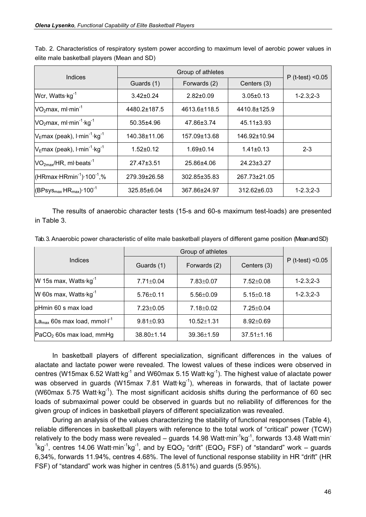| Indices                                                     |                  | $P$ (t-test) < 0.05 |                  |                  |
|-------------------------------------------------------------|------------------|---------------------|------------------|------------------|
|                                                             | Guards (1)       | Forwards (2)        | Centers (3)      |                  |
| Wcr, Watts kg <sup>-1</sup>                                 | $3.42 \pm 0.24$  | $2.82 \pm 0.09$     | $3.05 \pm 0.13$  | $1 - 2.3; 2 - 3$ |
| $VO2max$ , ml·min <sup>-1</sup>                             | 4480.2±187.5     | 4613.6±118.5        | 4410.8±125.9     |                  |
| VO <sub>2</sub> max, ml·min <sup>-1</sup> ·kg <sup>-1</sup> | $50.35 \pm 4.96$ | 47.86±3.74          | $45.11 \pm 3.93$ |                  |
| $V_{E}$ max (peak), $I \cdot min^{-1} \cdot kg^{-1}$        | 140.38±11.06     | 157.09±13.68        | 146.92±10.94     |                  |
| $V_{E}$ max (peak), $I \cdot min^{-1} \cdot kg^{-1}$        | $1.52 \pm 0.12$  | $1.69 \pm 0.14$     | $1.41 \pm 0.13$  | $2 - 3$          |
| $VO2max/HR, ml-beats-1$                                     | $27.47 \pm 3.51$ | 25.86±4.06          | $24.23 \pm 3.27$ |                  |
| $(HRmax\cdot HRmin^{-1})\cdot 100^{-1}$ ,%                  | 279.39±26.58     | 302.85±35.83        | 267.73±21.05     |                  |
| $(BPsysmax HRmax)·100-1$                                    | 325.85±6.04      | 367.86±24.97        | 312.62±6.03      | $1 - 2.3; 2 - 3$ |

Tab. 2. Characteristics of respiratory system power according to maximum level of aerobic power values in elite male basketball players (Mean and SD)

The results of anaerobic character tests (15-s and 60-s maximum test-loads) are presented in Table 3.

| Tab. 3. Anaerobic power characteristic of elite male basketball players of different game position (Meanand SD) |  |  |
|-----------------------------------------------------------------------------------------------------------------|--|--|
|-----------------------------------------------------------------------------------------------------------------|--|--|

| Indices                                              | Guards (1)       | Forwards (2)     | Centers (3)      | $P$ (t-test) < $0.05$ |
|------------------------------------------------------|------------------|------------------|------------------|-----------------------|
| W 15s max, Watts $kg^{-1}$                           | $7.71 \pm 0.04$  | $7.83 \pm 0.07$  | $7.52 \pm 0.08$  | $1 - 2.3; 2 - 3$      |
| W 60s max, Watts $kg^{-1}$                           | $5.76 \pm 0.11$  | $5.56 \pm 0.09$  | $5.15 \pm 0.18$  | $1 - 2.3; 2 - 3$      |
| pHmin 60 s max load                                  | $7.23 \pm 0.05$  | $7.18 \pm 0.02$  | $7.25 \pm 0.04$  |                       |
| La <sub>max</sub> 60s max load, mmol·l <sup>-1</sup> | $9.81 \pm 0.93$  | $10.52 \pm 1.31$ | $8.92 \pm 0.69$  |                       |
| $PACO2$ 60s max load, mmHg                           | $38.80 \pm 1.14$ | $39.36 \pm 1.59$ | $37.51 \pm 1.16$ |                       |

In basketball players of different specialization, significant differences in the values of alactate and lactate power were revealed. The lowest values of these indices were observed in centres (W15max 6.52 Watt  $kq^{-1}$  and W60max 5.15 Watt  $kq^{-1}$ ). The highest value of alactate power was observed in guards (W15max 7.81 Watt $kg^{-1}$ ), whereas in forwards, that of lactate power (W60max 5.75 Watt $kg^{-1}$ ). The most significant acidosis shifts during the performance of 60 sec loads of submaximal power could be observed in guards but no reliability of differences for the given group of indices in basketball players of different specialization was revealed.

During an analysis of the values characterizing the stability of functional responses (Table 4), reliable differences in basketball players with reference to the total work of "critical" power (TCW) relatively to the body mass were revealed – guards 14.98 Watt $\cdot$ min<sup>-1</sup>kg<sup>-1</sup>, forwards 13.48 Watt $\cdot$ min<sup>-</sup> <sup>1</sup>kg<sup>-1</sup>, centres 14.06 Watt·min<sup>-1</sup>kg<sup>-1</sup>, and by EQO<sub>2</sub> "drift" (EQO<sub>2</sub> FSF) of "standard" work – guards 6,34%, forwards 11.94%, centres 4.68%. The level of functional response stability in HR "drift" (HR FSF) of "standard" work was higher in centres (5.81%) and guards (5.95%).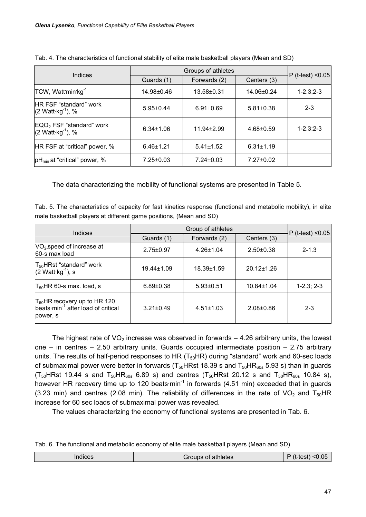| Indices                                                         |                  | $P$ (t-test) < 0.05 |                  |                  |
|-----------------------------------------------------------------|------------------|---------------------|------------------|------------------|
|                                                                 | Guards (1)       | Forwards (2)        | Centers (3)      |                  |
| TCW, Watt min kg <sup>-1</sup>                                  | $14.98 \pm 0.46$ | $13.58 + 0.31$      | $14.06 \pm 0.24$ | $1 - 2.3; 2 - 3$ |
| <b>IHR FSF</b> "standard" work<br>$(2 \text{ Watt·kg}^{-1}), %$ | $5.95 \pm 0.44$  | $6.91 \pm 0.69$     | $5.81 \pm 0.38$  | $2 - 3$          |
| $EQO2 FSF "standard" work (2 Watt·kg-1), %$                     | $6.34 \pm 1.06$  | $11.94 \pm 2.99$    | $4.68 \pm 0.59$  | $1 - 2.3; 2 - 3$ |
| HR FSF at "critical" power, %                                   | $6.46 \pm 1.21$  | $5.41 \pm 1.52$     | $6.31 \pm 1.19$  |                  |
| $ pH_{min}$ at "critical" power, %                              | $7.25 \pm 0.03$  | $7.24 \pm 0.03$     | $7.27 \pm 0.02$  |                  |

Tab. 4. The characteristics of functional stability of elite male basketball players (Mean and SD)

The data characterizing the mobility of functional systems are presented in Table 5.

Tab. 5. The characteristics of capacity for fast kinetics response (functional and metabolic mobility), in elite male basketball players at different game positions, (Mean and SD)

| Indices                                                                                         |                  | $P$ (t-test) < 0.05 |                  |              |
|-------------------------------------------------------------------------------------------------|------------------|---------------------|------------------|--------------|
|                                                                                                 | Guards (1)       | Forwards (2)        | Centers (3)      |              |
| VO <sub>2</sub> speed of increase at<br>160-s max load                                          | $2.75 \pm 0.97$  | $4.26 \pm 1.04$     | $2.50 \pm 0.38$  | $2 - 1.3$    |
| T <sub>50</sub> HRst "standard" work<br>$(2 \text{ Watt·kg}^{-1})$ , s                          | $19.44 \pm 1.09$ | $18.39 \pm 1.59$    | $20.12 \pm 1.26$ |              |
| $T_{50}$ HR 60-s max. load, s                                                                   | $6.89 \pm 0.38$  | $5.93 \pm 0.51$     | $10.84 \pm 1.04$ | $1-2.3; 2-3$ |
| $T_{50}$ HR recovery up to HR 120<br>beats min <sup>-1</sup> after load of critical<br>power, s | $3.21 \pm 0.49$  | $4.51 \pm 1.03$     | $2.08 + 0.86$    | $2 - 3$      |

The highest rate of  $VO<sub>2</sub>$  increase was observed in forwards  $-$  4.26 arbitrary units, the lowest one – in centres – 2.50 arbitrary units. Guards occupied intermediate position – 2.75 arbitrary units. The results of half-period responses to HR  $(T_{50}HR)$  during "standard" work and 60-sec loads of submaximal power were better in forwards ( $T_{50}$ HRst 18.39 s and  $T_{50}$ HR<sub>60s</sub> 5.93 s) than in guards  $(T_{50}$ HRst 19.44 s and  $T_{50}$ HR<sub>60s</sub> 6.89 s) and centres  $(T_{50}$ HRst 20.12 s and  $T_{50}$ HR<sub>60s</sub> 10.84 s), however HR recovery time up to 120 beats $\cdot$ min<sup>-1</sup> in forwards (4.51 min) exceeded that in guards (3.23 min) and centres (2.08 min). The reliability of differences in the rate of VO<sub>2</sub> and T<sub>50</sub>HR increase for 60 sec loads of submaximal power was revealed.

The values characterizing the economy of functional systems are presented in Tab. 6.

Tab. 6. The functional and metabolic economy of elite male basketball players (Mean and SD)

| $\mathbf{u} \in \mathbb{R}$ | $\sim$ of athletes $\sim$<br>ามกร |  |
|-----------------------------|-----------------------------------|--|
|-----------------------------|-----------------------------------|--|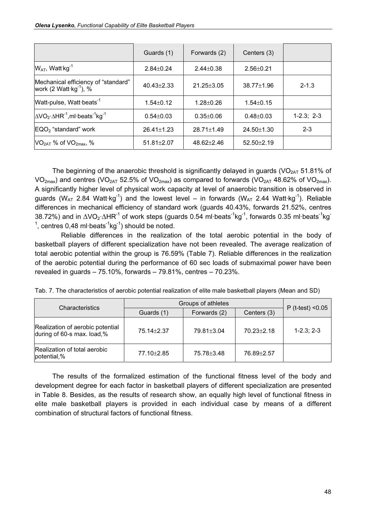|                                                                                                | Guards (1)       | Forwards (2)     | Centers (3)      |              |
|------------------------------------------------------------------------------------------------|------------------|------------------|------------------|--------------|
| $W_{AT}$ , Watt kg <sup>-1</sup>                                                               | $2.84 \pm 0.24$  | $2.44 \pm 0.38$  | $2.56 \pm 0.21$  |              |
| Mechanical efficiency of "standard"<br>work (2 Watt kg <sup>-1</sup> ), %                      | $40.43 \pm 2.33$ | $21.25 \pm 3.05$ | $38.77 \pm 1.96$ | $2 - 1.3$    |
| Watt-pulse, Watt beats <sup>-1</sup>                                                           | $1.54 \pm 0.12$  | $1.28 + 0.26$    | $1.54 \pm 0.15$  |              |
| $\Delta$ VO <sub>2</sub> · $\Delta$ HR <sup>-1</sup> , ml·beats <sup>-1</sup> kg <sup>-1</sup> | $0.54 \pm 0.03$  | $0.35 \pm 0.06$  | $0.48 \pm 0.03$  | $1-2.3; 2-3$ |
| $EQO2$ "standard" work                                                                         | $26.41 \pm 1.23$ | $28.71 \pm 1.49$ | $24.50 \pm 1.30$ | $2 - 3$      |
| $VO2AT$ % of $VO2max$ , %                                                                      | $51.81 \pm 2.07$ | $48.62 \pm 2.46$ | $52.50 + 2.19$   |              |

The beginning of the anaerobic threshold is significantly delayed in guards (VO $_{2AT}$  51.81% of  $VO_{2max}$ ) and centres (VO<sub>2AT</sub> 52.5% of VO<sub>2max</sub>) as compared to forwards (VO<sub>2AT</sub> 48.62% of VO<sub>2max</sub>). A significantly higher level of physical work capacity at level of anaerobic transition is observed in guards ( $W_{AT}$  2.84 Watt $kq^{-1}$ ) and the lowest level – in forwards ( $W_{AT}$  2.44 Watt $kq^{-1}$ ). Reliable differences in mechanical efficiency of standard work (guards 40.43%, forwards 21.52%, centres 38.72%) and in  $\Delta$ VO<sub>2</sub>· $\Delta$ HR<sup>-1</sup> of work steps (guards 0.54 ml·beats<sup>-1</sup>kg<sup>-1</sup>, forwards 0.35 ml·beats<sup>-1</sup>kg<sup>-</sup> <sup>1</sup>, centres 0,48 ml·beats<sup>-1</sup>kg<sup>-1</sup>) should be noted.

Reliable differences in the realization of the total aerobic potential in the body of basketball players of different specialization have not been revealed. The average realization of total aerobic potential within the group is 76.59% (Table 7). Reliable differences in the realization of the aerobic potential during the performance of 60 sec loads of submaximal power have been revealed in guards – 75.10%, forwards – 79.81%, centres – 70.23%.

| Tab. 7. The characteristics of aerobic potential realization of elite male basketball players (Mean and SD) |  |
|-------------------------------------------------------------------------------------------------------------|--|
|-------------------------------------------------------------------------------------------------------------|--|

| Characteristics                                                | Groups of athletes | $P$ (t-test) < $0.05$ |                  |              |
|----------------------------------------------------------------|--------------------|-----------------------|------------------|--------------|
|                                                                | Guards (1)         | Forwards (2)          | Centers (3)      |              |
| Realization of aerobic potential<br>during of 60-s max. load,% | 75.14 ± 2.37       | 79.81±3.04            | $70.23 \pm 2.18$ | $1-2.3; 2-3$ |
| Realization of total aerobic<br>potential,%                    | 77.10 ± 2.85       | 75.78 ± 3.48          | 76.89±2.57       |              |

The results of the formalized estimation of the functional fitness level of the body and development degree for each factor in basketball players of different specialization are presented in Table 8. Besides, as the results of research show, an equally high level of functional fitness in elite male basketball players is provided in each individual case by means of a different combination of structural factors of functional fitness.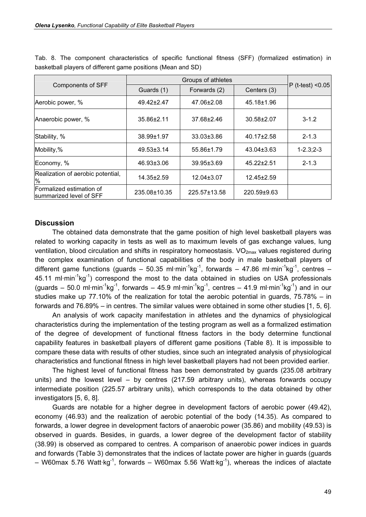| <b>Components of SFF</b>                            |                  |                  |                  |                       |
|-----------------------------------------------------|------------------|------------------|------------------|-----------------------|
|                                                     | Guards (1)       | Forwards (2)     | Centers (3)      | $P$ (t-test) < $0.05$ |
| Aerobic power, %                                    | 49.42±2.47       | 47.06±2.08       | 45.18±1.96       |                       |
| Anaerobic power, %                                  | 35.86±2.11       | 37.68±2.46       | 30.58±2.07       | $3 - 1.2$             |
| Stability, %                                        | 38.99±1.97       | 33.03±3.86       | $40.17 \pm 2.58$ | $2 - 1.3$             |
| Mobility,%                                          | $49.53 \pm 3.14$ | 55.86±1.79       | $43.04 \pm 3.63$ | $1 - 2.3; 2 - 3$      |
| Economy, %                                          | 46.93±3.06       | $39.95 \pm 3.69$ | $45.22 \pm 2.51$ | $2 - 1.3$             |
| Realization of aerobic potential,<br>%              | $14.35 \pm 2.59$ | $12.04 \pm 3.07$ | $12.45 \pm 2.59$ |                       |
| Formalized estimation of<br>summarized level of SFF | 235.08±10.35     | 225.57±13.58     | 220.59±9.63      |                       |

Tab. 8. The component characteristics of specific functional fitness (SFF) (formalized estimation) in basketball players of different game positions (Mean and SD)

#### **Discussion**

The obtained data demonstrate that the game position of high level basketball players was related to working capacity in tests as well as to maximum levels of gas exchange values, lung ventilation, blood circulation and shifts in respiratory homeostasis.  $VO<sub>2max</sub>$  values registered during the complex examination of functional capabilities of the body in male basketball players of different game functions (guards – 50.35 ml·min<sup>-1</sup>kg<sup>-1</sup>, forwards – 47.86 ml·min<sup>-1</sup>kg<sup>-1</sup>, centres – 45.11 ml $\cdot$ min<sup>-1</sup>kg<sup>-1</sup>) correspond the most to the data obtained in studies on USA professionals (guards – 50.0 ml·min<sup>-1</sup>kg<sup>-1</sup>, forwards – 45.9 ml·min<sup>-1</sup>kg<sup>-1</sup>, centres – 41.9 ml·min<sup>-1</sup>kg<sup>-1</sup>) and in our studies make up 77.10% of the realization for total the aerobic potential in guards, 75.78% – in forwards and 76.89% – in centres. The similar values were obtained in some other studies [1, 5, 6].

An analysis of work capacity manifestation in athletes and the dynamics of physiological characteristics during the implementation of the testing program as well as a formalized estimation of the degree of development of functional fitness factors in the body determine functional capability features in basketball players of different game positions (Table 8). It is impossible to compare these data with results of other studies, since such an integrated analysis of physiological characteristics and functional fitness in high level basketball players had not been provided earlier.

The highest level of functional fitness has been demonstrated by guards (235.08 arbitrary units) and the lowest level – by centres (217.59 arbitrary units), whereas forwards occupy intermediate position (225.57 arbitrary units), which corresponds to the data obtained by other investigators [5, 6, 8].

Guards are notable for a higher degree in development factors of aerobic power (49.42), economy (46.93) and the realization of aerobic potential of the body (14.35). As compared to forwards, a lower degree in development factors of anaerobic power (35.86) and mobility (49.53) is observed in guards. Besides, in guards, a lower degree of the development factor of stability (38.99) is observed as compared to centres. A comparison of anaerobic power indices in guards and forwards (Table 3) demonstrates that the indices of lactate power are higher in guards (guards – W60max 5.76 Watt·kg<sup>-1</sup>, forwards – W60max 5.56 Watt·kg<sup>-1</sup>), whereas the indices of alactate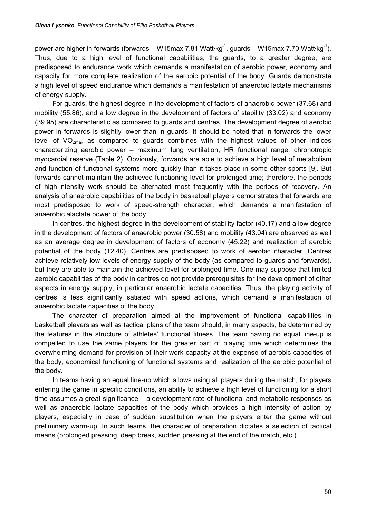power are higher in forwards (forwards – W15max 7.81 Watt $kg^{-1}$ , guards – W15max 7.70 Watt $kg^{-1}$ ). Thus, due to a high level of functional capabilities, the guards, to a greater degree, are predisposed to endurance work which demands a manifestation of aerobic power, economy and capacity for more complete realization of the aerobic potential of the body. Guards demonstrate a high level of speed endurance which demands a manifestation of anaerobic lactate mechanisms of energy supply.

For guards, the highest degree in the development of factors of anaerobic power (37.68) and mobility (55.86), and a low degree in the development of factors of stability (33.02) and economy (39.95) are characteristic as compared to guards and centres. The development degree of aerobic power in forwards is slightly lower than in guards. It should be noted that in forwards the lower level of  $VO<sub>2max</sub>$  as compared to guards combines with the highest values of other indices characterizing aerobic power – maximum lung ventilation, HR functional range, chronotropic myocardial reserve (Table 2). Obviously, forwards are able to achieve a high level of metabolism and function of functional systems more quickly than it takes place in some other sports [9]. But forwards cannot maintain the achieved functioning level for prolonged time; therefore, the periods of high-intensity work should be alternated most frequently with the periods of recovery. An analysis of anaerobic capabilities of the body in basketball players demonstrates that forwards are most predisposed to work of speed-strength character, which demands a manifestation of anaerobic alactate power of the body.

In centres, the highest degree in the development of stability factor (40.17) and a low degree in the development of factors of anaerobic power (30.58) and mobility (43.04) are observed as well as an average degree in development of factors of economy (45.22) and realization of aerobic potential of the body (12.40). Centres are predisposed to work of aerobic character. Centres achieve relatively low levels of energy supply of the body (as compared to guards and forwards), but they are able to maintain the achieved level for prolonged time. One may suppose that limited aerobic capabilities of the body in centres do not provide prerequisites for the development of other aspects in energy supply, in particular anaerobic lactate capacities. Thus, the playing activity of centres is less significantly satiated with speed actions, which demand a manifestation of anaerobic lactate capacities of the body.

The character of preparation aimed at the improvement of functional capabilities in basketball players as well as tactical plans of the team should, in many aspects, be determined by the features in the structure of athletes' functional fitness. The team having no equal line-up is compelled to use the same players for the greater part of playing time which determines the overwhelming demand for provision of their work capacity at the expense of aerobic capacities of the body, economical functioning of functional systems and realization of the aerobic potential of the body.

In teams having an equal line-up which allows using all players during the match, for players entering the game in specific conditions, an ability to achieve a high level of functioning for a short time assumes a great significance – a development rate of functional and metabolic responses as well as anaerobic lactate capacities of the body which provides a high intensity of action by players, especially in case of sudden substitution when the players enter the game without preliminary warm-up. In such teams, the character of preparation dictates a selection of tactical means (prolonged pressing, deep break, sudden pressing at the end of the match, etc.).